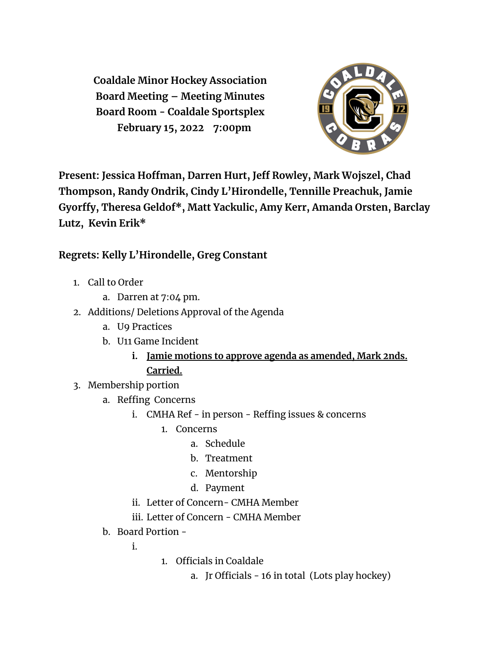**Coaldale Minor Hockey Association Board Meeting – Meeting Minutes Board Room - Coaldale Sportsplex February 15, 2022 7:00pm**



**Present: Jessica Hoffman, Darren Hurt, Jeff Rowley, Mark Wojszel, Chad Thompson, Randy Ondrik, Cindy L'Hirondelle, Tennille Preachuk, Jamie Gyorffy, Theresa Geldof\* , Matt Yackulic, Amy Kerr, Amanda Orsten, Barclay Lutz, Kevin Erik\***

## **Regrets: Kelly L'Hirondelle, Greg Constant**

- 1. Call to Order
	- a. Darren at 7:04 pm.
- 2. Additions/ Deletions Approval of the Agenda
	- a. U9 Practices
	- b. U11 Game Incident
		- **i. Jamie motions to approve agenda as amended, Mark 2nds. Carried.**
- 3. Membership portion
	- a. Reffing Concerns
		- i. CMHA Ref in person Reffing issues & concerns
			- 1. Concerns
				- a. Schedule
				- b. Treatment
				- c. Mentorship
				- d. Payment
		- ii. Letter of Concern- CMHA Member
		- iii. Letter of Concern CMHA Member
	- b. Board Portion -

i.

- 1. Officials in Coaldale
	- a. Jr Officials 16 in total (Lots play hockey)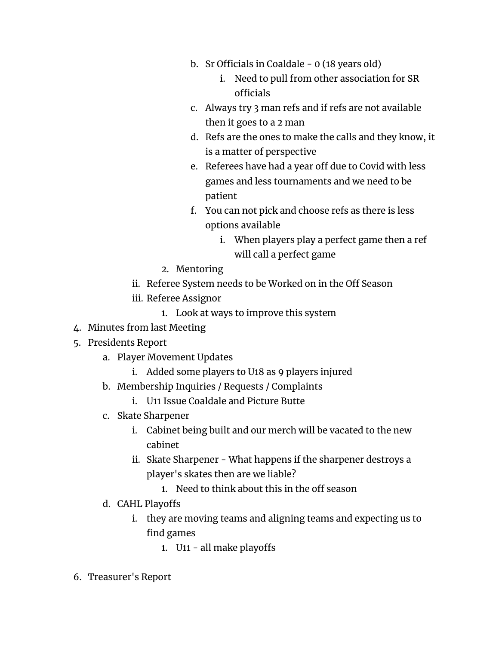- b. Sr Officials in Coaldale 0 (18 years old)
	- i. Need to pull from other association for SR officials
- c. Always try 3 man refs and if refs are not available then it goes to a 2 man
- d. Refs are the ones to make the calls and they know, it is a matter of perspective
- e. Referees have had a year off due to Covid with less games and less tournaments and we need to be patient
- f. You can not pick and choose refs as there is less options available
	- i. When players play a perfect game then a ref will call a perfect game
- 2. Mentoring
- ii. Referee System needs to be Worked on in the Off Season
- iii. Referee Assignor
	- 1. Look at ways to improve this system
- 4. Minutes from last Meeting
- 5. Presidents Report
	- a. Player Movement Updates
		- i. Added some players to U18 as 9 players injured
	- b. Membership Inquiries / Requests / Complaints
		- i. U11 Issue Coaldale and Picture Butte
	- c. Skate Sharpener
		- i. Cabinet being built and our merch will be vacated to the new cabinet
		- ii. Skate Sharpener What happens if the sharpener destroys a player's skates then are we liable?
			- 1. Need to think about this in the off season
	- d. CAHL Playoffs
		- i. they are moving teams and aligning teams and expecting us to find games
			- 1. U11 all make playoffs
- 6. Treasurer's Report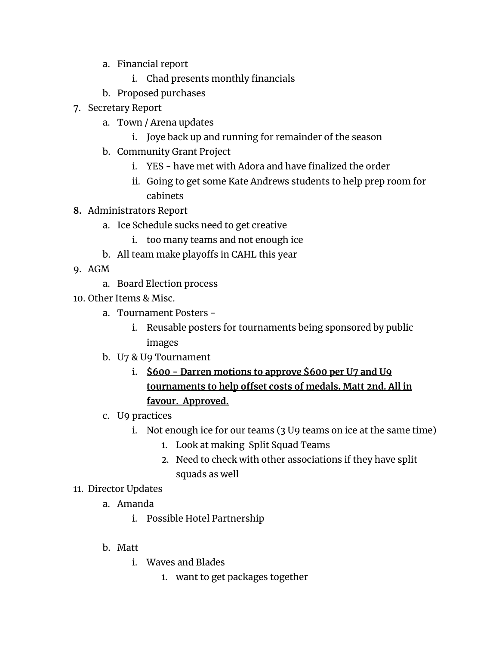- a. Financial report
	- i. Chad presents monthly financials
- b. Proposed purchases
- 7. Secretary Report
	- a. Town / Arena updates
		- i. Joye back up and running for remainder of the season
	- b. Community Grant Project
		- i. YES have met with Adora and have finalized the order
		- ii. Going to get some Kate Andrews students to help prep room for cabinets
- **8.** Administrators Report
	- a. Ice Schedule sucks need to get creative
		- i. too many teams and not enough ice
	- b. All team make playoffs in CAHL this year
- 9. AGM
	- a. Board Election process
- 10. Other Items & Misc.
	- a. Tournament Posters
		- i. Reusable posters for tournaments being sponsored by public images
	- b. U7 & U9 Tournament
		- **i. \$600 - Darren motions to approve \$600 per U7 and U9 tournaments to help offset costs of medals. Matt 2nd. All in favour. Approved.**
	- c. U9 practices
		- i. Not enough ice for our teams (3 U9 teams on ice at the same time)
			- 1. Look at making Split Squad Teams
			- 2. Need to check with other associations if they have split squads as well

## 11. Director Updates

- a. Amanda
	- i. Possible Hotel Partnership
- b. Matt
	- i. Waves and Blades
		- 1. want to get packages together